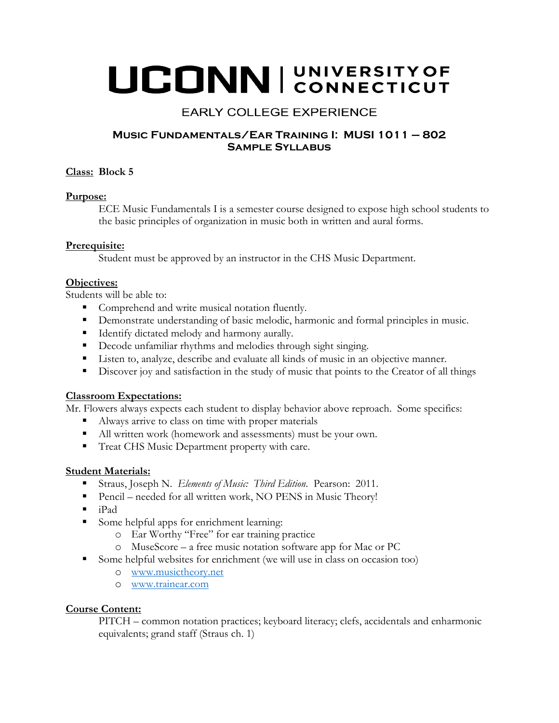# UCONN | UNIVERSITY OF

# **EARLY COLLEGE EXPERIENCE**

## **Music Fundamentals/Ear Training I: MUSI 1011 – 802 Sample Syllabus**

## **Class: Block 5**

#### **Purpose:**

ECE Music Fundamentals I is a semester course designed to expose high school students to the basic principles of organization in music both in written and aural forms.

## **Prerequisite:**

Student must be approved by an instructor in the CHS Music Department.

## **Objectives:**

Students will be able to:

- Comprehend and write musical notation fluently.
- **Demonstrate understanding of basic melodic, harmonic and formal principles in music.**
- **IDENTIFY** dictated melody and harmony aurally.
- Decode unfamiliar rhythms and melodies through sight singing.
- Listen to, analyze, describe and evaluate all kinds of music in an objective manner.
- Discover joy and satisfaction in the study of music that points to the Creator of all things

#### **Classroom Expectations:**

Mr. Flowers always expects each student to display behavior above reproach. Some specifics:

- Always arrive to class on time with proper materials
- All written work (homework and assessments) must be your own.
- Treat CHS Music Department property with care.

#### **Student Materials:**

- Straus, Joseph N. *Elements of Music: Third Edition*. Pearson: 2011.
- Pencil needed for all written work, NO PENS in Music Theory!
- $\blacksquare$  iPad
- Some helpful apps for enrichment learning:
	- o Ear Worthy "Free" for ear training practice
	- o MuseScore a free music notation software app for Mac or PC
- Some helpful websites for enrichment (we will use in class on occasion too)
	- o [www.musictheory.net](http://www.musictheory.net/)
	- o [www.trainear.com](http://www.trainear.com/)

## **Course Content:**

PITCH – common notation practices; keyboard literacy; clefs, accidentals and enharmonic equivalents; grand staff (Straus ch. 1)